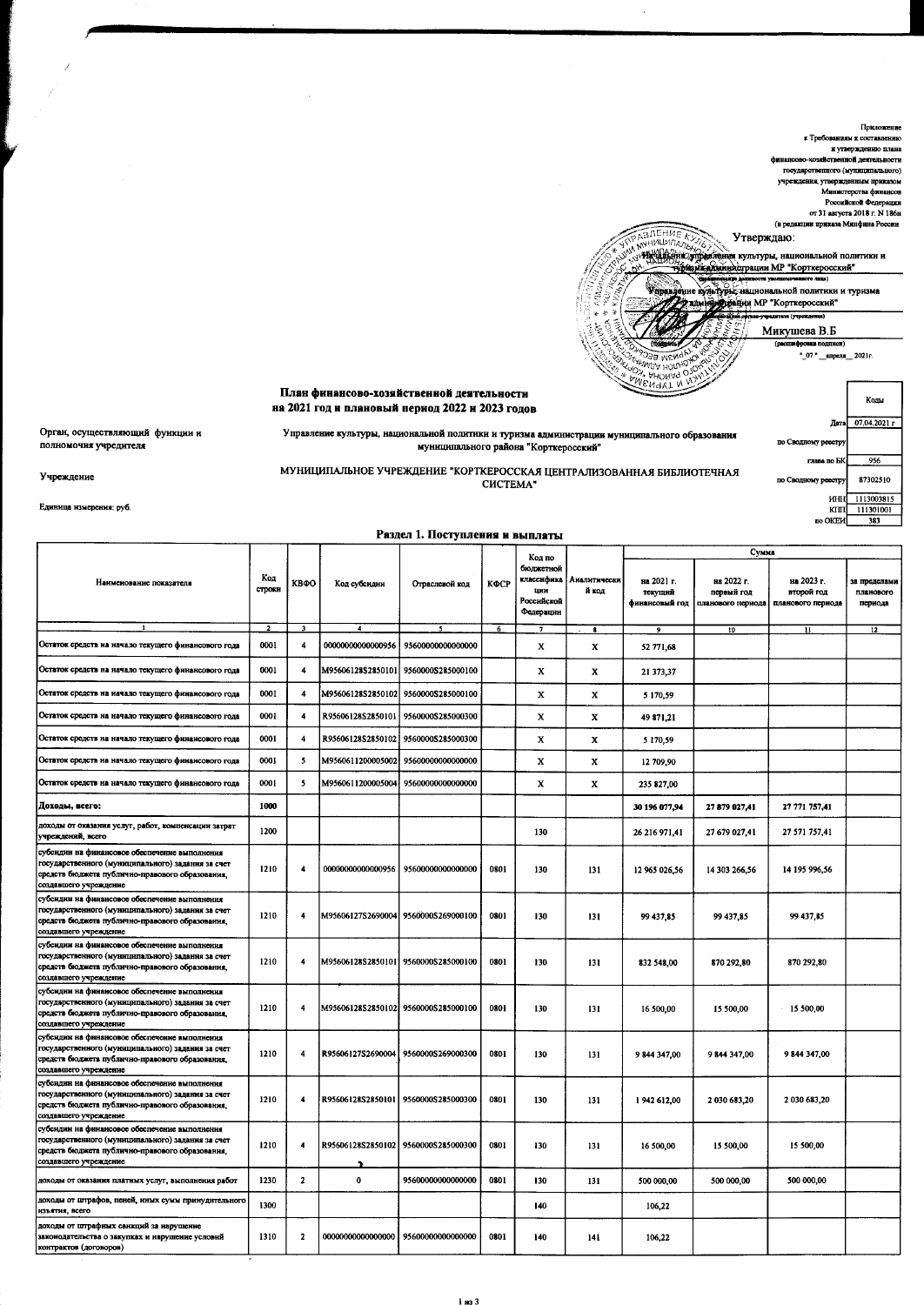Приложение к Требованиям к составлению и утверждению плана финансово-хозяйственной леятельности государственного (муниципального) **VIDEXIGHHS, VIBEDICIEHHM ПDHKS30M** Министерства финансов Российской Федерации от 31 августа 2018 г. N 186н (в редакции приказа Минфина России ABJIEHNE KI Утверждаю: ้นแบบก WWW. HARRY (У ПОРТИНЕ В ИЗВАНИЯ В ПОЛИТИКИ И SPORT NEWSTAPE HALIHOHANDADI NORTHERN H TYPHSMA .<br>mana (venemne Микушева В.Б "\_07 " \_апреля\_ 2021г.  $\overline{\mathbb{R}}$ ' หด Анома MAAL План финансово-хозяйственной деятельности Колы на 2021 год и плановый период 2022 и 2023 годов Дата 07.04.2021 г Орган, осуществляющий функции и Управление культуры, национальной политики и туризма администрации муниципального образования по Сводному реесто полномочия учредителя муниципального района "Корткеросский" глава по БК 956 МУНИЦИПАЛЬНОЕ УЧРЕЖДЕНИЕ "КОРТКЕРОССКАЯ ЦЕНТРАЛИЗОВАННАЯ БИБЛИОТЕЧНАЯ 87302510 по Сводному реестру CHCTEMA" 1113003815 инн  $\frac{1}{K}$  $\frac{111301001}{111301001}$ 

по ОКЕИ

383

Единица измерения: руб.

Учреждение

## Раздел 1. Поступления и выплаты

|                                                                                                                                                                                |                |                         |                    |                                      |      |                                                                     |                       |                                         | Сумма                    |                                                                 |                                      |
|--------------------------------------------------------------------------------------------------------------------------------------------------------------------------------|----------------|-------------------------|--------------------|--------------------------------------|------|---------------------------------------------------------------------|-----------------------|-----------------------------------------|--------------------------|-----------------------------------------------------------------|--------------------------------------|
| Наименование показателя                                                                                                                                                        | Код<br>строки  | КВФО                    | Код субсидии       | Отраслевой код                       | КФСР | Код по<br>бюджетной<br>классифика<br>шин<br>Российской<br>Федерации | Аналитически<br>й код | на 2021 г.<br>текущий<br>финансовый год | на 2022 г.<br>первый год | на 2023 г.<br>второй год<br>планового периода планового периода | за пределами<br>планового<br>пернода |
| $\mathbf{1}$                                                                                                                                                                   | $\overline{2}$ | $\overline{\mathbf{3}}$ | $\overline{a}$     | 3                                    | 6    | 7                                                                   | -8                    | 9                                       | 10                       | $\mathbf{11}$                                                   | 12                                   |
| Остаток средств на начало текущего финансового года                                                                                                                            | 0001           | $\overline{\mathbf{4}}$ | 0000000000000956   | 9560000000000000                     |      | X                                                                   | x                     | 52 771,68                               |                          |                                                                 |                                      |
| Остаток средств на начало текущего финансового года                                                                                                                            | 0001           | 4                       | M95606128S2850101  | 9560000S285000100                    |      | X                                                                   | x                     | 21 373,37                               |                          |                                                                 |                                      |
| Остаток средств на начало текущего финансового года                                                                                                                            | 0001           | 4                       | M95606128S2850102  | 9560000S285000100                    |      | X                                                                   | X                     | 5 170,59                                |                          |                                                                 |                                      |
| Остаток средств на начало текущего финансового года                                                                                                                            | 0001           | 4                       | R95606128\$2850101 | 9560000\$285000300                   |      | x                                                                   | X                     | 49 871,21                               |                          |                                                                 |                                      |
| Остаток средств на начало текущего финансового года                                                                                                                            | 0001           | 4                       | R95606128S2850102  | 9560000S285000300                    |      | x                                                                   | X                     | 5 170.59                                |                          |                                                                 |                                      |
| Остаток средств на начало текущего финансового года                                                                                                                            | 0001           | 5                       | M9560611200005002  | 95600000000000000                    |      | x                                                                   | X                     | 12 709,90                               |                          |                                                                 |                                      |
| Остаток средств на начало текущего финансового года                                                                                                                            | 0001           | $\overline{\mathbf{5}}$ | M9560611200005004  | 9560000000000000                     |      | X                                                                   | X                     | 235 827.00                              |                          |                                                                 |                                      |
| Доходы, всего:                                                                                                                                                                 | 1000           |                         |                    |                                      |      |                                                                     |                       | 30 196 077,94                           | 27 879 027,41            | 27 771 757,41                                                   |                                      |
| доходы от оказания услуг, работ, компенсации затрат<br>учреждений, всего                                                                                                       | 1200           |                         |                    |                                      |      | 130                                                                 |                       | 26 216 971,41                           | 27 679 027,41            | 27 571 757,41                                                   |                                      |
| субсидин на финансовое обеспечение выполнения<br>государственного (муниципального) задания за счет<br>средств бюджета публично-правового образования,<br>создавшего учреждение | 1210           | $\overline{\mathbf{4}}$ | 0000000000000956   | 95600000000000000                    | 0801 | 130                                                                 | 131                   | 12 965 026,56                           | 14 303 266,56            | 14 195 996,56                                                   |                                      |
| субсидии на финансовое обеспечение выполнения<br>государственного (муниципального) задания за счет<br>средств бюджета публично-правового образования,<br>создавшего учреждение | 1210           | 4                       |                    | M95606127S2690004 9560000S269000100  | 0801 | 130                                                                 | 131                   | 99 437,85                               | 99 437.85                | 99 437,85                                                       |                                      |
| субсидии на финансовое обеспечение выполнения<br>государственного (муниципального) задания за счет<br>средств бюджета публично-правового образования,<br>создавшего учреждение | 1210           | 4                       |                    | M95606128S2850101 9560000S285000100  | 0801 | 130                                                                 | 131                   | 832 548,00                              | 870 292,80               | 870 292,80                                                      |                                      |
| субсидии на финансовое обеспечение выполнения<br>государственного (муниципального) задания за счет<br>средств бюджета публично-правового образования,<br>создавшего учреждение | 1210           | $\overline{4}$          |                    | M95606128S2850102  9560000S285000100 | 0801 | 130                                                                 | 131                   | 16 500,00                               | 15 500,00                | 15 500,00                                                       |                                      |
| субсидии на финансовое обеспечение выполнения<br>государственного (муниципального) задания за счет<br>средств бюджета публично-правового образования,<br>создавшего учреждение | 1210           | $\overline{4}$          | R95606127S2690004  | 95600005269000300                    | 0801 | 130                                                                 | 131                   | 9 844 347,00                            | 9844 347,00              | 9844 347,00                                                     |                                      |
| субсидии на финансовое обеспечение выполнения<br>государственного (муниципального) задания за счет<br>средств бюджета публично-правового образования,<br>создавшего учреждение | 1210           | $\ddot{\phantom{1}}$    | R95606128S2850101  | 9560000\$285000300                   | 0801 | 130                                                                 | 131                   | 1942 612,00                             | 2030 683,20              | 2 030 683,20                                                    |                                      |
| субсидии на финансовое обеспечение выполнения<br>государственного (муниципального) задания за счет<br>средств бюджета публично-правового образования,<br>создавшего учреждение | 1210           | $\overline{\mathbf{4}}$ |                    | R95606128S2850102 9560000S285000300  | 0801 | 130                                                                 | 131                   | 16 500,00                               | 15 500,00                | 15 500,00                                                       |                                      |
| доходы от оказания платных услуг, выполнения работ                                                                                                                             | 1230           | $\overline{2}$          | $\pmb{0}$          | 95600000000000000                    | 0801 | 130                                                                 | 131                   | 500 000,00                              | 500 000,00               | 500 000,00                                                      |                                      |
| доходы от штрафов, пеней, иных сумм принудительного<br>изъятия, всего                                                                                                          | 1300           |                         |                    |                                      |      | 140                                                                 |                       | 106,22                                  |                          |                                                                 |                                      |
| доходы от штрафных санкций за нарушение<br>законодательства о закупках и нарушение условий<br>контрактов (договоров)                                                           | 1310           | $\mathbf{2}$            |                    | 00000000000000000 95600000000000000  | 0801 | 140                                                                 | 141                   | 106,22                                  |                          |                                                                 |                                      |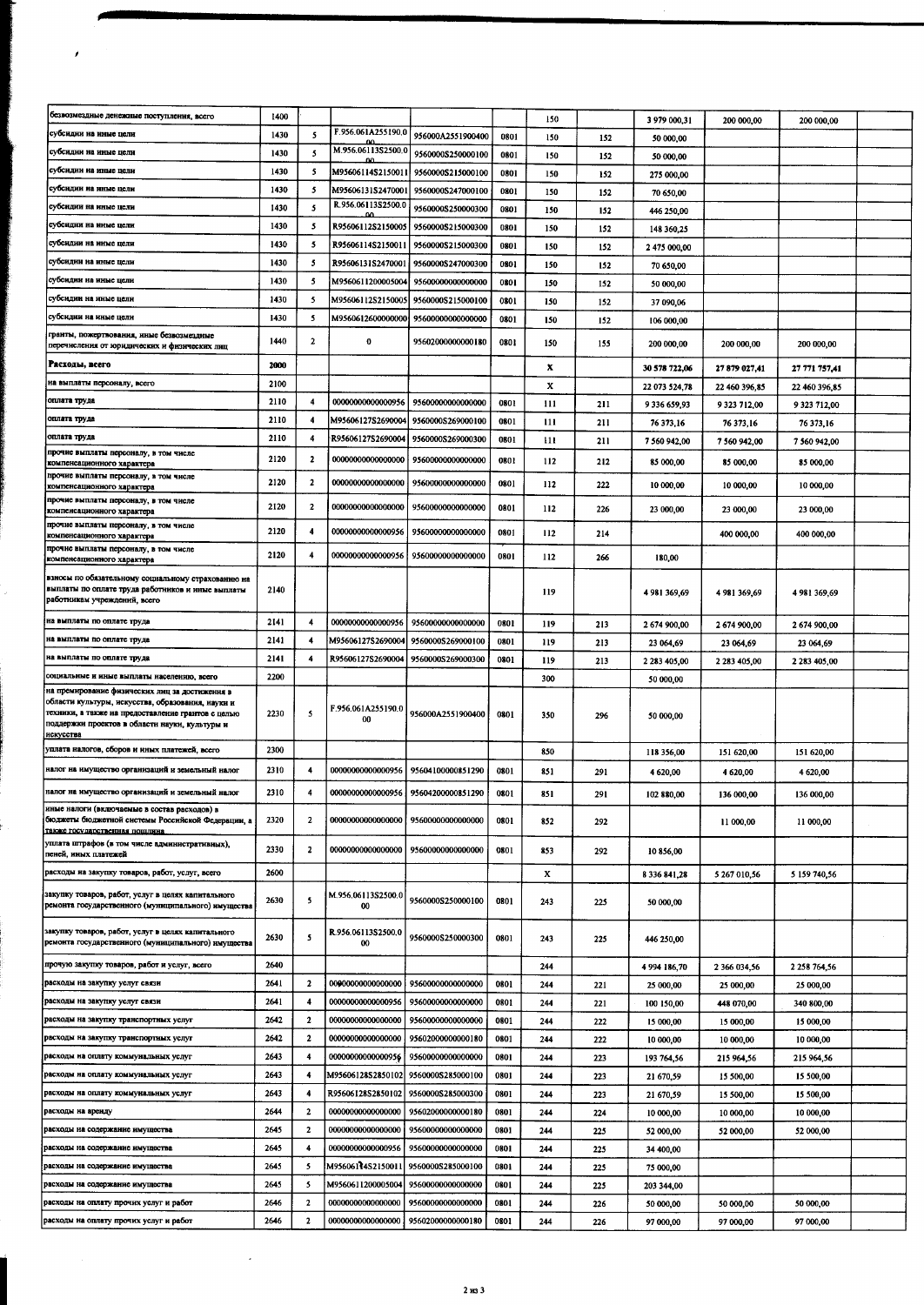| безвозмездные денежные поступления, всего                                                                                                                                                                                | 1400 |                         |                                |                                     |      | 150 |     | 3 979 000,31        | 200 000,00    | 200 000,00    |  |
|--------------------------------------------------------------------------------------------------------------------------------------------------------------------------------------------------------------------------|------|-------------------------|--------------------------------|-------------------------------------|------|-----|-----|---------------------|---------------|---------------|--|
| субсидин на иные цели                                                                                                                                                                                                    | 1430 | 5                       | F.956.061A255190.0             | 956000A2551900400                   | 0801 | 150 | 152 | 50 000,00           |               |               |  |
| субсидин на иные цели                                                                                                                                                                                                    | 1430 | 5                       | M.956.06113\$2500.0            | 9560000\$250000100                  | 0801 | 150 | 152 | 50 000,00           |               |               |  |
| субсидии на иные цели                                                                                                                                                                                                    | 1430 | 5                       | M95606114S2150011              | 9560000S215000100                   | 0801 | 150 | 152 | 275 000,00          |               |               |  |
| субсидин на иные цели                                                                                                                                                                                                    | 1430 | 5                       | M95606131S2470001              | 9560000S247000100                   | 0801 | 150 | 152 | 70 650,00           |               |               |  |
| субсидии на иные цели                                                                                                                                                                                                    | 1430 | 5                       | R.956.06113S2500.0             | 9560000S250000300                   | 0801 | 150 | 152 | 446 250,00          |               |               |  |
| субсидни на иные цели                                                                                                                                                                                                    | 1430 | 5                       | R95606112S2150005              | 9560000S215000300                   | 0801 | 150 | 152 | 148 360,25          |               |               |  |
| субсидии на иные цели                                                                                                                                                                                                    | 1430 | 5                       | R95606114S2150011              | 9560000S215000300                   | 0801 | 150 | 152 | 2 475 000,00        |               |               |  |
| субсидии на иные цели                                                                                                                                                                                                    | 1430 | 5                       | R95606131S2470001              | 9560000S247000300                   | 0801 | 150 | 152 | 70 650,00           |               |               |  |
| субсидии на иные цели                                                                                                                                                                                                    | 1430 | 5                       | M9560611200005004              | 95600000000000000                   | 0801 | 150 | 152 | 50 000,00           |               |               |  |
| субсидин на иные цели                                                                                                                                                                                                    | 1430 | 5                       | M95606112S2150005              | 9560000S215000100                   | 0801 | 150 | 152 | 37 090,06           |               |               |  |
| субсидии на иные цели                                                                                                                                                                                                    | 1430 | 5                       |                                | M9560612600000000 95600000000000000 | 0801 | 150 | 152 | 106 000,00          |               |               |  |
| гранты, пожертвования, иные безвозмездные<br>перечисления от юридических и физических лиц                                                                                                                                | 1440 | 2                       | 0                              | 95602000000000180                   | 0801 | 150 | 155 | 200 000,00          | 200 000,00    | 200 000,00    |  |
| Расходы, всего                                                                                                                                                                                                           | 2000 |                         |                                |                                     |      |     |     |                     |               |               |  |
| на выплаты персоналу, всего                                                                                                                                                                                              | 2100 |                         |                                |                                     |      | x   |     | 30 578 722,06       | 27879027,41   | 27 771 757,41 |  |
| оплата труда                                                                                                                                                                                                             | 2110 | 4                       | 00000000000000956              | 95600000000000000                   |      | X   |     | 22 073 524,78       | 22 460 396,85 | 22 460 396,85 |  |
| оплата труда                                                                                                                                                                                                             | 2110 | $\ddot{\phantom{1}}$    | M95606127S2690004              | 9560000S269000100                   | 0801 | 111 | 211 | 9 336 659,93        | 9 323 712,00  | 9 323 712,00  |  |
| оплата труда                                                                                                                                                                                                             | 2110 | 4                       | R95606127S2690004              | 9560000S269000300                   | 0801 | 111 | 211 | 76 373,16           | 76 373.16     | 76 373,16     |  |
| прочне выплаты персоналу, в том числе                                                                                                                                                                                    |      |                         |                                |                                     | 0801 | 111 | 211 | 7 560 942,00        | 7 560 942,00  | 7 560 942,00  |  |
| компенсационного характера                                                                                                                                                                                               | 2120 | $\mathbf{2}$            | 00000000000000000              | 95600000000000000                   | 0801 | 112 | 212 | 85 000,00           | 85 000,00     | 85 000,00     |  |
| прочие выплаты персоналу, в том чнеле<br>компенсационного характера                                                                                                                                                      | 2120 | $\overline{\mathbf{2}}$ | 00000000000000000              | 95600000000000000                   | 0801 | 112 | 222 | 10 000,00           | 10 000,00     | 10 000,00     |  |
| прочие выплаты персоналу, в том числе<br>компенсационного характера                                                                                                                                                      | 2120 | $\overline{\mathbf{c}}$ | 00000000000000000              | 95600000000000000                   | 0801 | 112 | 226 | 23 000,00           | 23 000.00     | 23 000,00     |  |
| прочие выплаты персоналу, в том числе<br>компенсационного характера                                                                                                                                                      | 2120 | 4                       | 00000000000000956              | 95600000000000000                   | 0801 | 112 | 214 |                     | 400 000,00    | 400 000,00    |  |
| прочие выплаты персоналу, в том числе                                                                                                                                                                                    | 2120 |                         |                                |                                     |      |     |     |                     |               |               |  |
| компенсационного характера                                                                                                                                                                                               |      | 4                       | <b>00000000000000956</b>       | 9560000000000000                    | 0801 | 112 | 266 | 180,00              |               |               |  |
| взносы по обязательному социальному страхованию на<br>выплаты по оплате труда работников и иные выплаты<br>работникам учреждений, всего                                                                                  | 2140 |                         |                                |                                     |      | 119 |     | 4981369,69          | 4 981 369,69  | 4981369,69    |  |
| на выплаты по оплате труда                                                                                                                                                                                               | 2141 | 4                       | 00000000000000956              | 95600000000000000                   | 0801 | 119 | 213 | 2674900,00          | 2674900,00    | 2 674 900,00  |  |
| на выплаты по оплате труда                                                                                                                                                                                               | 2141 | 4                       | M95606127S2690004              | 9560000S269000100                   | 0801 | 119 | 213 | 23 064,69           | 23 064,69     | 23 064,69     |  |
| на выплаты по оплате труда                                                                                                                                                                                               | 2141 | 4                       | R95606127S2690004              | 9560000S269000300                   | 0801 | 119 | 213 | 2 283 405,00        | 2 283 405,00  | 2 283 405,00  |  |
| социальные и иные выплаты населению, всего                                                                                                                                                                               | 2200 |                         |                                |                                     |      | 300 |     | 50 000,00           |               |               |  |
| на премирование физических лиц за достижения в<br>области культуры, искусства, образования, науки и<br>техники, а также на предоставление грантов с целью<br>поддержки проектов в области науки, культуры и<br>искусства | 2230 | 5                       | F.956.061A255190.0<br>00       | 956000A2551900400                   | 0801 | 350 | 296 | 50 000,00           |               |               |  |
| уплата налогов, сборов и иных платежей, всего                                                                                                                                                                            | 2300 |                         |                                |                                     |      | 850 |     | 118 356,00          | 151 620,00    | 151 620,00    |  |
| налог на имущество организаций и земельный налог                                                                                                                                                                         | 2310 | 4                       | 00000000000000956              | 95604100000851290                   | 0801 | 851 | 291 | 4 620,00            | 4 620,00      | 4 620,00      |  |
| налог на имущество организаций и земельный налог                                                                                                                                                                         | 2310 | 4                       | 00000000000000956              | 95604200000851290                   | 0801 | 851 | 291 | 102 880,00          | 136 000,00    | 136 000,00    |  |
| иные налоги (включаемые в состав расходов) в<br>бюджеты бюджетной системы Российской Федерации, а                                                                                                                        | 2320 | $\overline{2}$          | 00000000000000000              | 95600000000000000                   | 0801 | 852 | 292 |                     | 11 000,00     | 11 000,00     |  |
| также государственная пошлина<br>уплата штрафов (в том числе административных),<br>пеней, иных платежей                                                                                                                  | 2330 | $\mathbf{2}$            | 00000000000000000              | 95600000000000000                   | 0801 | 853 | 292 | 10 856,00           |               |               |  |
| расходы на закупку товаров, работ, услуг, всего                                                                                                                                                                          | 2600 |                         |                                |                                     |      |     |     |                     |               |               |  |
|                                                                                                                                                                                                                          |      |                         |                                |                                     |      | x   |     | 8 3 3 6 8 4 1 , 2 8 | 5 267 010 56  | 5 159 740,56  |  |
| закупку товаров, работ, услуг в целях капитального<br>ремонта государственного (муниципального) имущества                                                                                                                | 2630 | 5                       | M.956.06113S2500.0<br>00       | 9560000S250000100                   | 0801 | 243 | 225 | 50 000,00           |               |               |  |
| закупку товаров, работ, услуг в целях капитального<br>ремонта государственного (муниципального) имущества                                                                                                                | 2630 | 5                       | R.956.06113\$2500.0<br>$^{00}$ | 9560000S250000300                   | 0801 | 243 | 225 | 446 250,00          |               |               |  |
| прочую закупку товаров, работ и услуг, всего                                                                                                                                                                             | 2640 |                         |                                |                                     |      | 244 |     | 4 994 186,70        | 2 366 034,56  | 2 258 764.56  |  |
| расходы на закупку услуг связи                                                                                                                                                                                           | 2641 | $\mathbf{2}$            | 00900000000000000              | 95600000000000000                   | 0801 | 244 | 221 | 25 000,00           | 25 000,00     | 25 000,00     |  |
| расходы на закупку услуг связи                                                                                                                                                                                           | 2641 | 4                       | 0000000000000956               | 95600000000000000                   | 0801 | 244 | 221 | 100 150,00          | 448 070,00    | 340 800,00    |  |
| расходы на закупку транспортных услуг                                                                                                                                                                                    | 2642 | $\mathbf{2}$            | 00000000000000000              | 95600000000000000                   | 0801 | 244 | 222 | 15 000,00           | 15 000,00     | 15 000,00     |  |
| расходы на закупку транспортных услуг                                                                                                                                                                                    | 2642 | $\mathbf{2}$            | 00000000000000000              | 95602000000000180                   | 0801 | 244 | 222 | 10 000,00           | 10 000,00     | 10 000,00     |  |
| расходы на оплату коммунальных услуг                                                                                                                                                                                     | 2643 | 4                       | 0000000000000956               | 95600000000000000                   | 0801 | 244 | 223 | 193 764,56          | 215 964,56    | 215 964,56    |  |
| расходы на оплату коммунальных услуг                                                                                                                                                                                     | 2643 | 4                       | M95606128S2850102              | 9560000\$285000100                  | 0801 | 244 | 223 | 21 670,59           | 15 500,00     | 15 500,00     |  |
| расходы на оплату коммунальных услуг                                                                                                                                                                                     | 2643 | 4                       | R95606128S2850102              | 9560000S285000300                   | 0801 | 244 | 223 | 21 670,59           | 15 500,00     | 15 500,00     |  |
| расходы на аренду                                                                                                                                                                                                        | 2644 | $\overline{\mathbf{2}}$ | 00000000000000000              | 95602000000000180                   | 0801 | 244 | 224 | 10 000,00           | 10 000,00     | 10 000,00     |  |
| расходы на содержание имущества                                                                                                                                                                                          | 2645 | $\overline{\mathbf{2}}$ | 00000000000000000              | 9560000000000000                    | 0801 | 244 | 225 | 52 000,00           | 52 000,00     | 52 000,00     |  |
| расходы на содержание имущества                                                                                                                                                                                          | 2645 | 4                       | 00000000000000956              | 95600000000000000                   | 0801 | 244 | 225 | 34 400,00           |               |               |  |
| расходы на содержание имущества                                                                                                                                                                                          | 2645 | 5                       | M95606114S2150011              | 9560000S285000100                   | 0801 | 244 | 225 | 75 000,00           |               |               |  |
| расходы на содержание имущества                                                                                                                                                                                          | 2645 | 5                       | M9560611200005004              | 95600000000000000                   | 0801 | 244 | 225 | 203 344,00          |               |               |  |
| расходы на оплату прочих услуг и работ                                                                                                                                                                                   | 2646 | $\overline{\mathbf{z}}$ | 00000000000000000              | 9560000000000000                    | 0801 | 244 | 226 | 50 000,00           | 50 000,00     | 50 000,00     |  |
| расходы на оплату прочих услуг и работ                                                                                                                                                                                   | 2646 | $\overline{\mathbf{2}}$ | 00000000000000000              | 95602000000000180                   | 0801 | 244 | 226 | 97 000,00           | 97 000,00     | 97 000,00     |  |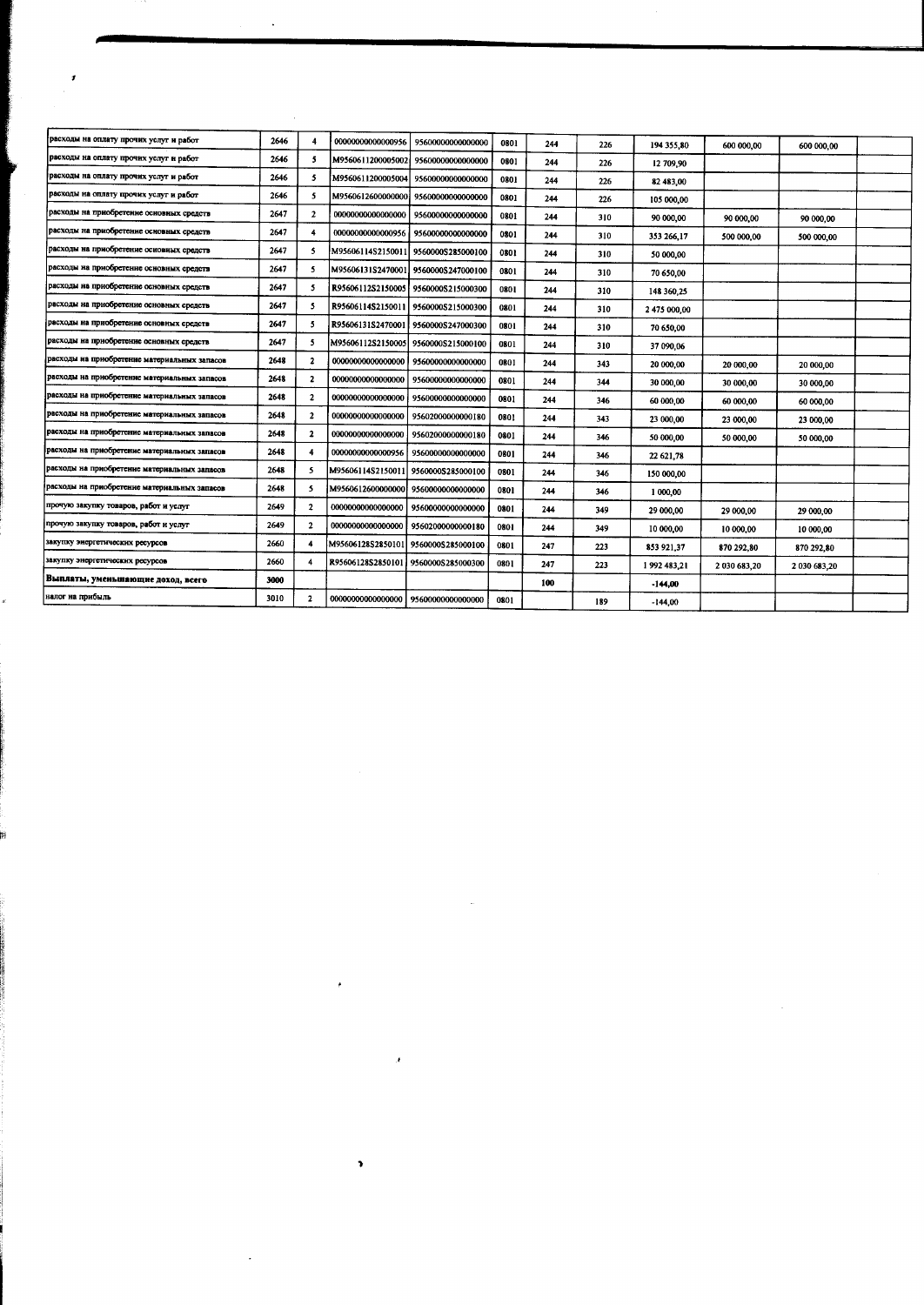| расходы на оплату прочих услуг и работ       | 2646 |                         | 00000000000000956                   | 95600000000000000                     | 0801 | 244 | 226 | 194 355,80   | 600 000,00   | 600 000,00   |  |
|----------------------------------------------|------|-------------------------|-------------------------------------|---------------------------------------|------|-----|-----|--------------|--------------|--------------|--|
| расходы на оплату прочих услуг и работ       | 2646 | 5.                      | M9560611200005002                   | 95600000000000000                     | 0801 | 244 | 226 | 12 709,90    |              |              |  |
| расходы на оплату прочих услуг и работ       | 2646 | 5                       |                                     | M9560611200005004 95600000000000000   | 0801 | 244 | 226 | 82 483,00    |              |              |  |
| расходы на оплату прочих услуг и работ       | 2646 | 5                       | M9560612600000000                   | 95600000000000000                     | 0801 | 244 | 226 | 105 000,00   |              |              |  |
| расходы на приобретение основных средств     | 2647 | $\mathbf{2}$            | 00000000000000000                   | 95600000000000000                     | 0801 | 244 | 310 | 90 000,00    | 90 000,00    | 90 000,00    |  |
| расходы на приобретение основных средств     | 2647 |                         |                                     | 00000000000000956 356000000000000000  | 0801 | 244 | 310 | 353 266,17   | 500 000,00   | 500 000,00   |  |
| расходы на приобретение основных средств     | 2647 | 5                       | M95606114S2150011 9560000S285000100 |                                       | 0801 | 244 | 310 | 50 000,00    |              |              |  |
| расходы на приобретение основных средств     | 2647 | 5                       | M95606131S2470001                   | 9560000S247000100                     | 0801 | 244 | 310 | 70 650,00    |              |              |  |
| расходы на приобретение основных средств     | 2647 | 5                       |                                     | R95606112S2150005 9560000S215000300   | 0801 | 244 | 310 | 148 360,25   |              |              |  |
| расходы на приобретение основных средств     | 2647 | 5                       | R95606114S2150011                   | 9560000S215000300                     | 0801 | 244 | 310 | 2 475 000,00 |              |              |  |
| расходы на приобретение основных средств     | 2647 | 5                       | R95606131S2470001                   | 9560000S247000300                     | 0801 | 244 | 310 | 70 650,00    |              |              |  |
| расходы на приобретение основных средств     | 2647 | 5                       | M95606112S2150005 9560000S215000100 |                                       | 0801 | 244 | 310 | 37 090,06    |              |              |  |
| расходы на приобретение материальных запасов | 2648 | $\mathbf{2}$            | 00000000000000000                   | 95600000000000000                     | 0801 | 244 | 343 | 20 000,00    | 20 000,00    | 20 000 00    |  |
| расходы на приобретение материальных запасов | 2648 | $\mathbf{z}$            | 0000000000000000                    | 95600000000000000                     | 0801 | 244 | 344 | 30 000,00    | 30 000,00    | 30 000,00    |  |
| расходы на приобретение материальных запасов | 2648 | $\mathbf{2}$            |                                     | 00000000000000000   95600000000000000 | 0801 | 244 | 346 | 60 000,00    | 60 000,00    | 60 000,00    |  |
| расходы на приобретение материальных запасов | 2648 | $\mathbf{2}$            | 00000000000000000                   | 95602000000000180                     | 0801 | 244 | 343 | 23 000,00    | 23 000,00    | 23 000,00    |  |
| расходы на приобретение материальных запасов | 2648 | $\overline{\mathbf{2}}$ | 00000000000000000                   | 95602000000000180                     | 0801 | 244 | 346 | 50 000,00    | 50 000,00    | 50 000,00    |  |
| расходы на приобретение материальных запасов | 2648 |                         | 00000000000000956                   | 95600000000000000                     | 0801 | 244 | 346 | 22 621,78    |              |              |  |
| расходы на приобретение материальных запасов | 2648 | 5                       | M95606114S2150011                   | 9560000S285000100                     | 0801 | 244 | 346 | 150 000,00   |              |              |  |
| расходы на приобретение материальных запасов | 2648 | 5                       | M9560612600000000                   | 95600000000000000                     | 0801 | 244 | 346 | 1 000,00     |              |              |  |
| прочую закупку товаров, работ и услуг        | 2649 | $\overline{a}$          | 00000000000000000                   | 95600000000000000                     | 0801 | 244 | 349 | 29 000,00    | 29 000,00    | 29 000,00    |  |
| прочую закупку товаров, работ и услуг        | 2649 | $\overline{\mathbf{2}}$ | 00000000000000000                   | 95602000000000180                     | 0801 | 244 | 349 | 10 000,00    | 10 000,00    | 10 000,00    |  |
| закупку энергетических ресурсов              | 2660 | 4                       | M95606128S2850101                   | 9560000\$285000100                    | 0801 | 247 | 223 | 853 921,37   | 870 292,80   | 870 292,80   |  |
| закупку энергетических ресурсов              | 2660 |                         | R95606128S2850101                   | 9560000S285000300                     | 0801 | 247 | 223 | 1992 483,21  | 2 030 683,20 | 2 030 683,20 |  |
| Выплаты, уменьшающие доход, всего            | 3000 |                         |                                     |                                       |      | 100 |     | $-144,00$    |              |              |  |
| налог на прибыль                             | 3010 | $\mathbf{z}$            | 00000000000000000                   | 95600000000000000                     | 0801 |     | 189 | $-144,00$    |              |              |  |
|                                              |      |                         |                                     |                                       |      |     |     |              |              |              |  |

 $\label{eq:2.1} \frac{1}{\sqrt{2}}\int_{\mathbb{R}^3}\frac{1}{\sqrt{2}}\left(\frac{1}{\sqrt{2}}\right)^2\frac{1}{\sqrt{2}}\left(\frac{1}{\sqrt{2}}\right)^2\frac{1}{\sqrt{2}}\left(\frac{1}{\sqrt{2}}\right)^2\frac{1}{\sqrt{2}}\left(\frac{1}{\sqrt{2}}\right)^2.$ 

 $\label{eq:2} \mathcal{A} = \mathcal{A} \mathcal{A} + \mathcal{A} \mathcal{A} + \mathcal{A} \mathcal{A}$ 

 $\mathcal{L}(\mathcal{L}^{\text{max}}_{\mathcal{L}}(\mathcal{L}^{\text{max}}_{\mathcal{L}}))$  , and  $\mathcal{L}^{\text{max}}_{\mathcal{L}^{\text{max}}_{\mathcal{L}}(\mathcal{L}^{\text{max}}_{\mathcal{L}})}$ 

 $\bar{\mathbf{r}}$ 

 $\sim$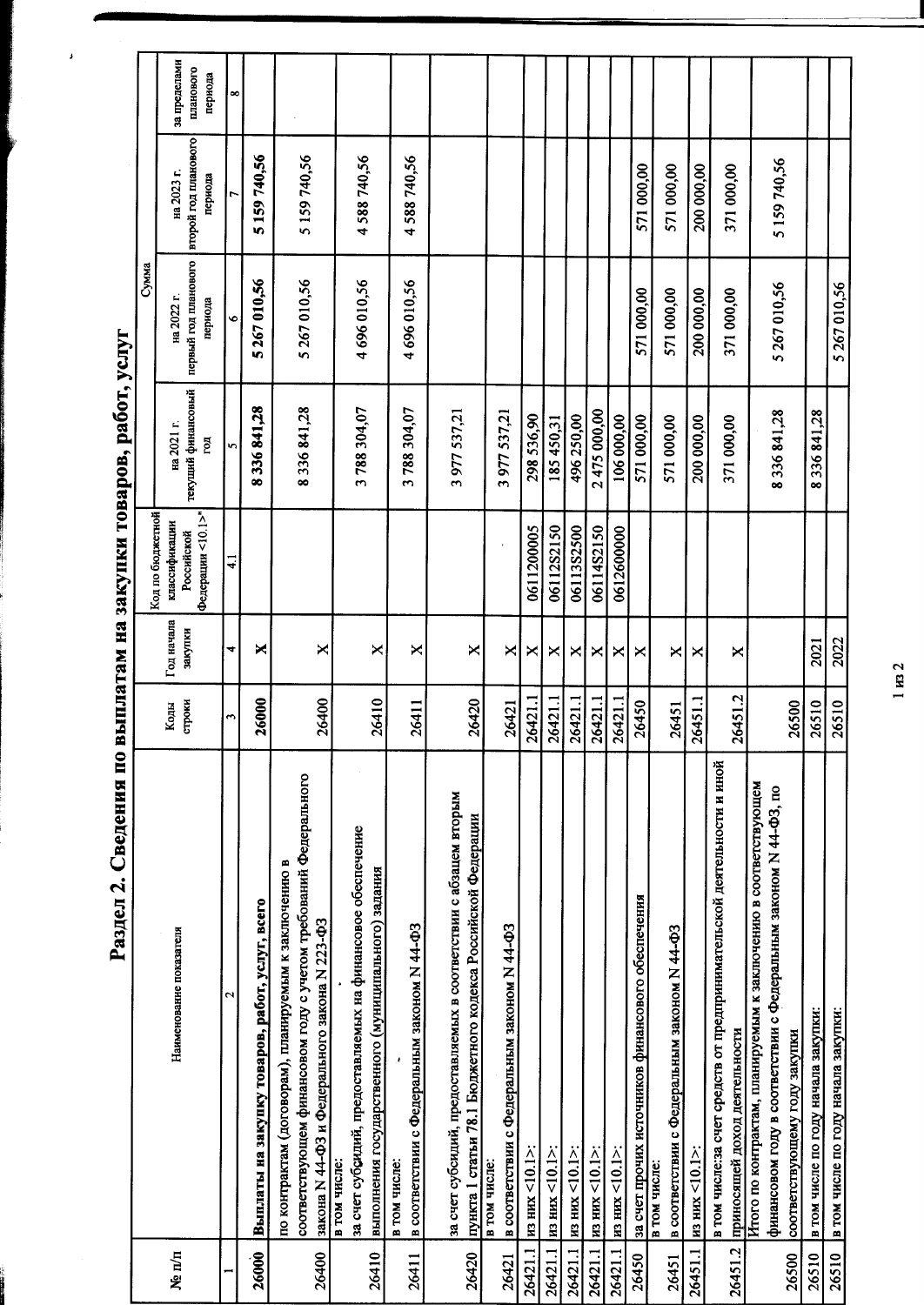Раздел 2. Сведения по выплатам на закупки товаров, работ, услуг

 $\boldsymbol{\beta}$ 

|         |                                                                                                                                                                            |                      |                       | Код по бюджетной            |                          | Сумма                           |                                 |                      |
|---------|----------------------------------------------------------------------------------------------------------------------------------------------------------------------------|----------------------|-----------------------|-----------------------------|--------------------------|---------------------------------|---------------------------------|----------------------|
| Ne n/n  | Наименование показателя                                                                                                                                                    | строки<br>Коды       | Год начала<br>закупки | классификации<br>Российской | на 2021 г.               | на 2022 г.                      | на 2023 г.                      | за пределами         |
|         |                                                                                                                                                                            |                      |                       | Федерации <10.1>"           | текущий финансовый<br>Бq | первый год планового<br>периода | второй год планового<br>периода | планового<br>периода |
|         | $\mathbf{\Omega}$                                                                                                                                                          | $\ddot{\phantom{1}}$ | 4                     | $\overline{41}$             | n                        | G                               | r                               | ∞                    |
| 26000   | Выплаты на закупку товаров, работ, услуг, всего                                                                                                                            | 26000                | ×                     |                             | 8336841,28               | 5267010,56                      | 5159740,56                      |                      |
| 26400   | соответствующем финансовом году с учетом требований Федерального<br>по контрактам (договорам), планируемым к заключению в<br>закона N 44-ФЗ и Федерального закона N 223-ФЗ | 26400                | ×                     |                             | 8336841,28               | 5 267 010,56                    | 5 159 740,56                    |                      |
| 26410   | за счет субоидий, предоставляемых на финансовое обеспечение<br>выполнения государственного (муниципального) задания<br>в том числе:                                        | 26410                | ×                     |                             | 3788304,07               | 4696010,56                      | 4588740,56                      |                      |
| 26411   | в соответствии с Федеральным законом N 44-ФЗ<br>в том числе:                                                                                                               | 26411                | ×                     |                             | 3788304,07               | 4696010,56                      | 4588740,56                      |                      |
| 26420   | за счет субсидий, предоставляемых в соответствии с абзацем вторым<br>пункта 1 статьи 78.1 Бюджетного кодекса Российской Федерации                                          | 26420                | ×                     |                             | 3977537,21               |                                 |                                 |                      |
| 26421   | в соответствии с Федеральным законом N 44-ФЗ<br>в том числе:                                                                                                               | 26421                | ×                     |                             | 3977537,21               |                                 |                                 |                      |
| 26421.1 | из них <10.1>                                                                                                                                                              | 26421.1              | ×                     | 0611200005                  | 298 536,90               |                                 |                                 |                      |
| 26421.1 | $_{\rm H3 HMX}$ <10.1>:                                                                                                                                                    | 26421.1              | ×                     | 06112S2150                  | 185450,31                |                                 |                                 |                      |
| 26421.1 | из них <10.1>:                                                                                                                                                             | 26421.1              | ×                     | 06113S2500                  | 496 250,00               |                                 |                                 |                      |
|         | 26421.1   из них <10.1>:                                                                                                                                                   | 26421.1              | ×                     | 06114S2150                  | 2475000.00               |                                 |                                 |                      |
| 26421.1 | $_{H3 HHK}$ <10.1>                                                                                                                                                         | 26421.1              | $\Join$               | 0612600000                  | 106 000,00               |                                 |                                 |                      |
| 26450   | за счет прочих источников финансового обеспечения                                                                                                                          | 26450                | ×                     |                             | 571 000,00               | 571 000,00                      | 571 000,00                      |                      |
| 26451   | в соответствии с Федеральным законом N 44-ФЗ<br>в том числе:                                                                                                               | 26451                | ×                     |                             | 571 000,00               | 571 000,00                      | 571 000,00                      |                      |
| 26451.1 | $_{\rm H3 HHX}$ <10.1>                                                                                                                                                     | 26451.1              | ×                     |                             | 200 000,00               | 200 000,00                      | 200 000,00                      |                      |
| 26451.2 | в том числе:за счет средств от предпринимательской деятельности и иной<br>приносящей доход деятельности                                                                    | 26451.2              | ×                     |                             | 371 000,00               | 371 000,00                      | 371 000,00                      |                      |
|         | Итого по контрактам, планируемым к заключению в соответствующем<br>финансовом году в соответствии с Федеральным законом N 44-ФЗ, по                                        |                      |                       |                             | 8336841,28               | 5 267 010,56                    | 5 159 740,56                    |                      |
| 26500   | соответствующему году закупки                                                                                                                                              | 26500                |                       |                             |                          |                                 |                                 |                      |
| 26510   | в том числе по году начала закупки:                                                                                                                                        | 26510                | 2021                  |                             | 8336841,28               |                                 |                                 |                      |
| 26510   | в том числе по году начала закупки:                                                                                                                                        | 26510                | 2022                  |                             |                          | 5267010,56                      |                                 |                      |